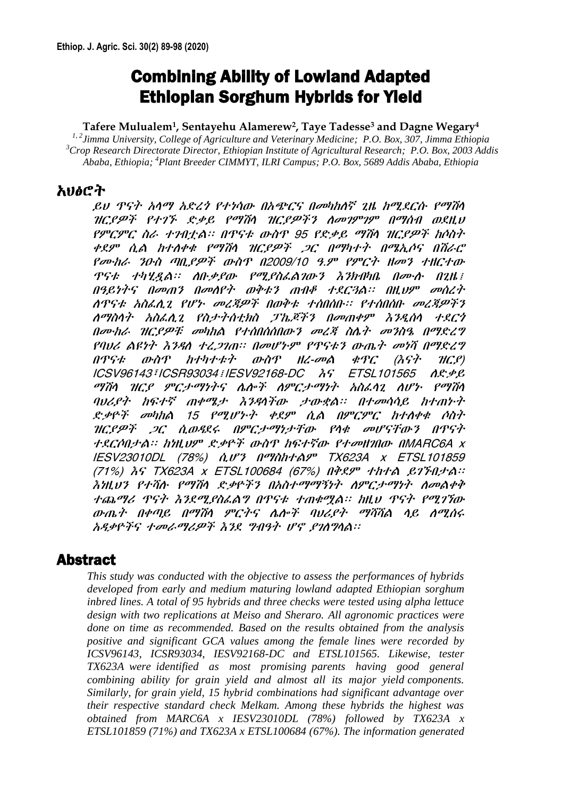# Combining Ability of Lowland Adapted Ethiopian Sorghum Hybrids for Yield

#### **Tafere Mulualem<sup>1</sup> , Sentayehu Alamerew<sup>2</sup> , Taye Tadesse<sup>3</sup> and Dagne Wegary<sup>4</sup>**

*1, 2Jimma University, College of Agriculture and Veterinary Medicine; P.O. Box, 307, Jimma Ethiopia <sup>3</sup>Crop Research Directorate Director, Ethiopian Institute of Agricultural Research; P.O. Box, 2003 Addis Ababa, Ethiopia; <sup>4</sup>Plant Breeder CIMMYT, ILRI Campus; P.O. Box, 5689 Addis Ababa, Ethiopia*

## አህፅሮት

ይህ ጥናት አላማ አድረጎ የተነሳው በአጭርና በመካከለኛ ጊዜ ከሚደርሱ የማሽላ ዝርያዎች የተገኙ ድቃይ የማሽላ ዝርያዎችን ለመገምገም በማሰብ ወደዚህ የምርምር ስራ ተገብቷል፡፡ በጥናቱ ውስጥ 95 የድቃይ ማሽላ ዝርያዎች ከሶስት ቀደም ሲል ከተለቀቁ የማሽላ ዝርያዎች ጋር በማካተት በሜኢሶና በሽራሮ የሙከራ ንዑስ ጣቢያዎች ውስጥ በ2009/10 ዓ.ም የምርት ዘመን ተዘርተው ጥናቱ ተካሂዷል፡፡ ለቡቃያው የሚያስፈልገውን እንክብካቤ በሙሉ በጊዜ፤ በዓይነትና በመጠን በመለየት ወቅቱን ጠብቆ ተደርጓል፡፡ በዚህም መሰረት ለጥናቱ አስፈሊጊ የሆኑ መረጃዎች በወቅቱ ተሰበሰቡ፡፡ የተሰበሰቡ መረጃዎችን ለማስላት አስፈሊጊ የስታትሰቲክስ ፓኬጆችን በመጠቀም እንዲሰላ ተደርጎ በሙከራ ዝርያዎቹ መካከል የተሰበሰሰበውን መረጃ ስሌት መንስዔ በማድረግ የባህሪ ልዩነት እንዳለ ተረጋገጠ፡፡ በመሆኑም የጥናቱን ውጤት መነሻ በማድረግ በጥናቱ ውስጥ ከተካተቱት ውስጥ ዘረ-መል ቁጥር (እናት ዝርያ) ICSV96143፣ICSR93034፤IESV92168-DC እና ETSL101565 ለድቃይ ማሽላ ዝርያ ምርታማነትና ሌሎች ለምርታማነት አስፈላጊ ለሆኑ የማሽላ ባህሪያት ከፍተኛ ጠቀሜታ እንዳላችው ታውቋል፡፡ በተመሳሳይ ከተጠኑት ድቃዮች መካከል 15 የሚሆኑት ቀደም ሲል በምርምር ከተለቀቁ ሶስት ዝርያዎች ጋር ሲወዳደሩ በምርታማነታቸው የላቁ መሆናቸውን በጥናት ተደርሶበታል፡፡ ከነዚህም ድቃዮች ውስጥ ከፍተኛው የተመዘገበው በMARC6A x IESV23010DL (78%) ሲሆን በማስከተልም TX623A x ETSL101859 (71%) እና TX623A x ETSL100684 (67%) በቅደም ተከተል ይገኙበታል፡፡ እነዚህን የተሻሉ የማሽላ ድቃዮችን በአስተማማኝነት ለምርታማነት ለመልቀቅ ተጨማሪ ጥናት እንደሚያስፈልግ በጥናቱ ተጠቁሟል፡፡ ከዚህ ጥናት የሚገኘው ውጤት በቀጣይ በማሽላ ምርትና ሌሎች ባህሪያት ማሻሻል ላይ ለሚሰሩ አዳቃዮችና ተመራማሪዎች እንደ ግብዓት ሆኖ ያገለግላል፡፡

## Abstract

*This study was conducted with the objective to assess the performances of hybrids developed from early and medium maturing lowland adapted Ethiopian sorghum inbred lines. A total of 95 hybrids and three checks were tested using alpha lettuce design with two replications at Meiso and Sheraro. All agronomic practices were done on time as recommended. Based on the results obtained from the analysis positive and significant GCA values among the female lines were recorded by ICSV96143, ICSR93034, IESV92168-DC and ETSL101565. Likewise, tester TX623A were identified as most promising parents having good general combining ability for grain yield and almost all its major yield components. Similarly, for grain yield, 15 hybrid combinations had significant advantage over their respective standard check Melkam. Among these hybrids the highest was obtained from MARC6A x IESV23010DL (78%) followed by TX623A x ETSL101859 (71%) and TX623A x ETSL100684 (67%). The information generated*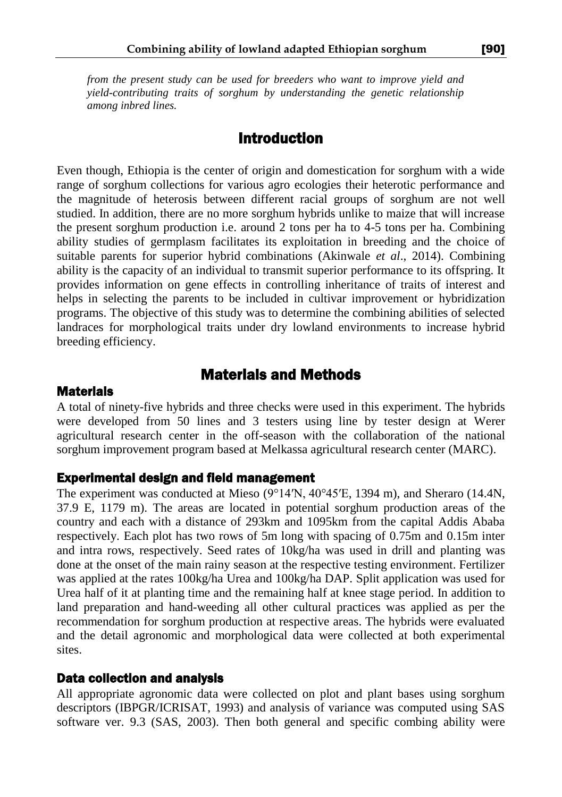*from the present study can be used for breeders who want to improve yield and yield-contributing traits of sorghum by understanding the genetic relationship among inbred lines.* 

# Introduction

Even though, Ethiopia is the center of origin and domestication for sorghum with a wide range of sorghum collections for various agro ecologies their heterotic performance and the magnitude of heterosis between different racial groups of sorghum are not well studied. In addition, there are no more sorghum hybrids unlike to maize that will increase the present sorghum production i.e. around 2 tons per ha to 4-5 tons per ha. Combining ability studies of germplasm facilitates its exploitation in breeding and the choice of suitable parents for superior hybrid combinations (Akinwale *et al*., 2014). Combining ability is the capacity of an individual to transmit superior performance to its offspring. It provides information on gene effects in controlling inheritance of traits of interest and helps in selecting the parents to be included in cultivar improvement or hybridization programs. The objective of this study was to determine the combining abilities of selected landraces for morphological traits under dry lowland environments to increase hybrid breeding efficiency.

# Materials and Methods

#### **Materials**

A total of ninety-five hybrids and three checks were used in this experiment. The hybrids were developed from 50 lines and 3 testers using line by tester design at Werer agricultural research center in the off-season with the collaboration of the national sorghum improvement program based at Melkassa agricultural research center (MARC).

#### Experimental design and field management

The experiment was conducted at Mieso (9°14′N, [40°45′E,](https://tools.wmflabs.org/geohack/geohack.php?pagename=Mieso¶ms=9_14_N_40_45_E_type:city(21348)_region:ET-OR) 1394 m), and Sheraro (14.4N, 37.9 E, 1179 m). The areas are located in potential sorghum production areas of the country and each with a distance of 293km and 1095km from the capital Addis Ababa respectively. Each plot has two rows of 5m long with spacing of 0.75m and 0.15m inter and intra rows, respectively. Seed rates of 10kg/ha was used in drill and planting was done at the onset of the main rainy season at the respective testing environment. Fertilizer was applied at the rates 100kg/ha Urea and 100kg/ha DAP. Split application was used for Urea half of it at planting time and the remaining half at knee stage period. In addition to land preparation and hand-weeding all other cultural practices was applied as per the recommendation for sorghum production at respective areas. The hybrids were evaluated and the detail agronomic and morphological data were collected at both experimental sites.

#### Data collection and analysis

All appropriate agronomic data were collected on plot and plant bases using sorghum descriptors (IBPGR/ICRISAT, 1993) and analysis of variance was computed using SAS software ver. 9.3 (SAS, 2003). Then both general and specific combing ability were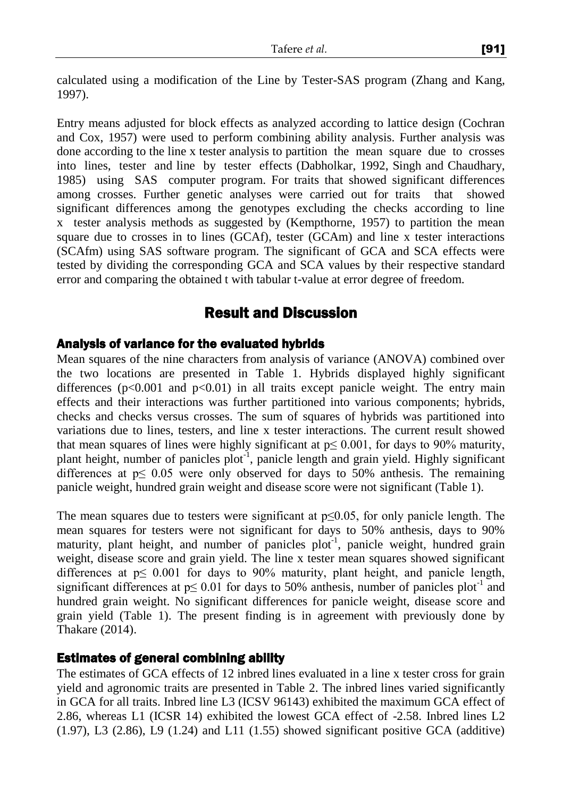calculated using a modification of the Line by Tester-SAS program (Zhang and Kang, 1997).

Entry means adjusted for block effects as analyzed according to lattice design (Cochran and Cox, 1957) were used to perform combining ability analysis. Further analysis was done according to the line x tester analysis to partition the mean square due to crosses into lines, tester and line by tester effects (Dabholkar, 1992, Singh and Chaudhary, 1985) using SAS computer program. For traits that showed significant differences among crosses. Further genetic analyses were carried out for traits that showed significant differences among the genotypes excluding the checks according to line x tester analysis methods as suggested by (Kempthorne, 1957) to partition the mean square due to crosses in to lines (GCAf), tester (GCAm) and line x tester interactions (SCAfm) using SAS software program. The significant of GCA and SCA effects were tested by dividing the corresponding GCA and SCA values by their respective standard error and comparing the obtained t with tabular t-value at error degree of freedom.

# Result and Discussion

#### Analysis of variance for the evaluated hybrids

Mean squares of the nine characters from analysis of variance (ANOVA) combined over the two locations are presented in Table 1. Hybrids displayed highly significant differences ( $p<0.001$  and  $p<0.01$ ) in all traits except panicle weight. The entry main effects and their interactions was further partitioned into various components; hybrids, checks and checks versus crosses. The sum of squares of hybrids was partitioned into variations due to lines, testers, and line x tester interactions. The current result showed that mean squares of lines were highly significant at  $p \le 0.001$ , for days to 90% maturity, plant height, number of panicles plot<sup>-1</sup>, panicle length and grain yield. Highly significant differences at  $p \leq 0.05$  were only observed for days to 50% anthesis. The remaining panicle weight, hundred grain weight and disease score were not significant (Table 1).

The mean squares due to testers were significant at  $p \leq 0.05$ , for only panicle length. The mean squares for testers were not significant for days to 50% anthesis, days to 90% maturity, plant height, and number of panicles  $plot^{-1}$ , panicle weight, hundred grain weight, disease score and grain yield. The line x tester mean squares showed significant differences at  $p \leq 0.001$  for days to 90% maturity, plant height, and panicle length, significant differences at  $p \le 0.01$  for days to 50% anthesis, number of panicles plot<sup>-1</sup> and hundred grain weight. No significant differences for panicle weight, disease score and grain yield (Table 1). The present finding is in agreement with previously done by Thakare (2014).

#### Estimates of general combining ability

The estimates of GCA effects of 12 inbred lines evaluated in a line x tester cross for grain yield and agronomic traits are presented in Table 2. The inbred lines varied significantly in GCA for all traits. Inbred line L3 (ICSV 96143) exhibited the maximum GCA effect of 2.86, whereas L1 (ICSR 14) exhibited the lowest GCA effect of -2.58. Inbred lines L2 (1.97), L3 (2.86), L9 (1.24) and L11 (1.55) showed significant positive GCA (additive)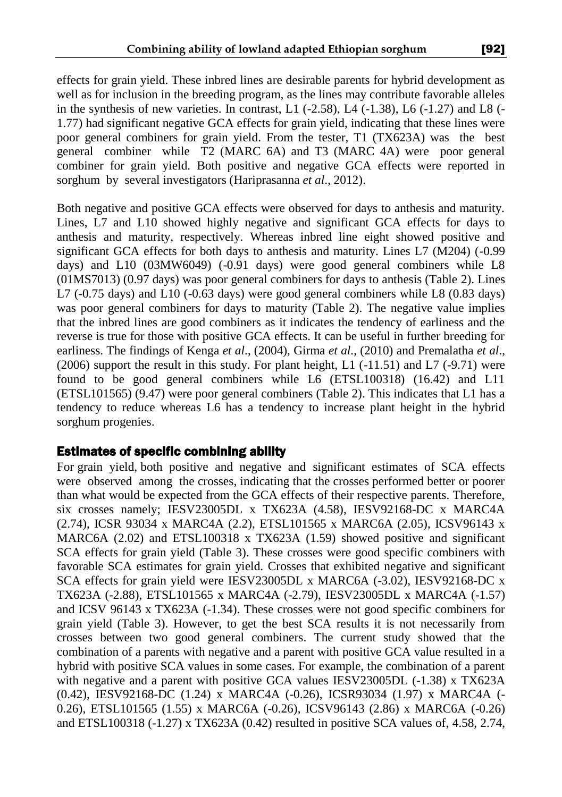effects for grain yield. These inbred lines are desirable parents for hybrid development as well as for inclusion in the breeding program, as the lines may contribute favorable alleles in the synthesis of new varieties. In contrast, L1  $(-2.58)$ , L4  $(-1.38)$ , L6  $(-1.27)$  and L8  $(-1.29)$ 1.77) had significant negative GCA effects for grain yield, indicating that these lines were poor general combiners for grain yield. From the tester, T1 (TX623A) was the best general combiner while T2 (MARC 6A) and T3 (MARC 4A) were poor general combiner for grain yield. Both positive and negative GCA effects were reported in sorghum by several investigators (Hariprasanna *et al*., 2012).

Both negative and positive GCA effects were observed for days to anthesis and maturity. Lines, L7 and L10 showed highly negative and significant GCA effects for days to anthesis and maturity, respectively. Whereas inbred line eight showed positive and significant GCA effects for both days to anthesis and maturity. Lines L7 (M204) (-0.99 days) and L10 (03MW6049) (-0.91 days) were good general combiners while L8 (01MS7013) (0.97 days) was poor general combiners for days to anthesis (Table 2). Lines L7 (-0.75 days) and L10 (-0.63 days) were good general combiners while L8 (0.83 days) was poor general combiners for days to maturity (Table 2). The negative value implies that the inbred lines are good combiners as it indicates the tendency of earliness and the reverse is true for those with positive GCA effects. It can be useful in further breeding for earliness. The findings of Kenga *et al*., (2004), Girma *et al*., (2010) and Premalatha *et al*.,  $(2006)$  support the result in this study. For plant height, L1 ( $-11.51$ ) and L7 ( $-9.71$ ) were found to be good general combiners while L6 (ETSL100318) (16.42) and L11 (ETSL101565) (9.47) were poor general combiners (Table 2). This indicates that L1 has a tendency to reduce whereas L6 has a tendency to increase plant height in the hybrid sorghum progenies.

#### Estimates of specific combining ability

For grain yield, both positive and negative and significant estimates of SCA effects were observed among the crosses, indicating that the crosses performed better or poorer than what would be expected from the GCA effects of their respective parents. Therefore, six crosses namely; IESV23005DL x TX623A (4.58), IESV92168-DC x MARC4A (2.74), ICSR 93034 x MARC4A (2.2), ETSL101565 x MARC6A (2.05), ICSV96143 x MARC6A (2.02) and ETSL100318 x TX623A (1.59) showed positive and significant SCA effects for grain yield (Table 3). These crosses were good specific combiners with favorable SCA estimates for grain yield. Crosses that exhibited negative and significant SCA effects for grain yield were IESV23005DL x MARC6A (-3.02), IESV92168-DC x TX623A (-2.88), ETSL101565 x MARC4A (-2.79), IESV23005DL x MARC4A (-1.57) and ICSV 96143 x TX623A (-1.34). These crosses were not good specific combiners for grain yield (Table 3). However, to get the best SCA results it is not necessarily from crosses between two good general combiners. The current study showed that the combination of a parents with negative and a parent with positive GCA value resulted in a hybrid with positive SCA values in some cases. For example, the combination of a parent with negative and a parent with positive GCA values IESV23005DL (-1.38) x TX623A (0.42), IESV92168-DC (1.24) x MARC4A (-0.26), ICSR93034 (1.97) x MARC4A (- 0.26), ETSL101565 (1.55) x MARC6A (-0.26), ICSV96143 (2.86) x MARC6A (-0.26) and ETSL100318 (-1.27) x TX623A (0.42) resulted in positive SCA values of, 4.58, 2.74,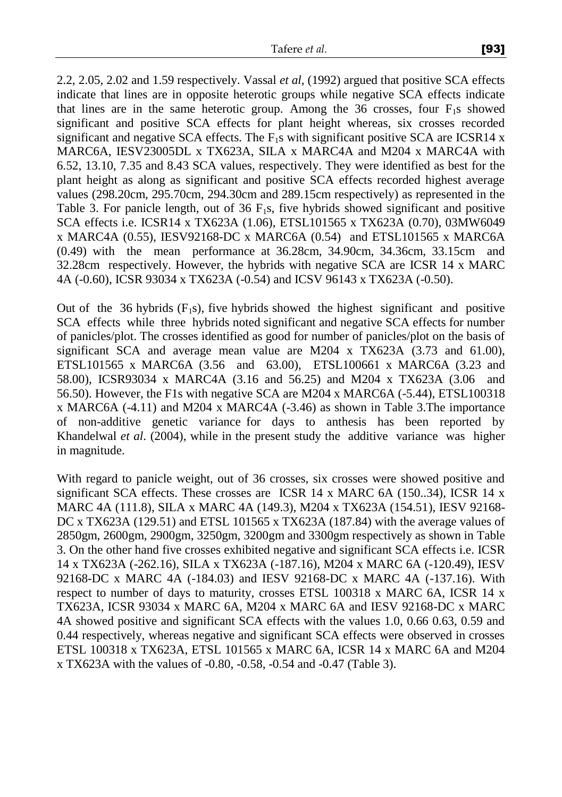2.2, 2.05, 2.02 and 1.59 respectively. Vassal *et al*, (1992) argued that positive SCA effects indicate that lines are in opposite heterotic groups while negative SCA effects indicate that lines are in the same heterotic group. Among the 36 crosses, four  $F_1$ s showed significant and positive SCA effects for plant height whereas, six crosses recorded significant and negative SCA effects. The  $F_1s$  with significant positive SCA are ICSR14 x MARC6A, IESV23005DL x TX623A, SILA x MARC4A and M204 x MARC4A with 6.52, 13.10, 7.35 and 8.43 SCA values, respectively. They were identified as best for the plant height as along as significant and positive SCA effects recorded highest average values (298.20cm, 295.70cm, 294.30cm and 289.15cm respectively) as represented in the Table 3. For panicle length, out of  $36 \text{ F}_1\text{s}$ , five hybrids showed significant and positive SCA effects i.e. ICSR14 x TX623A (1.06), ETSL101565 x TX623A (0.70), 03MW6049 x MARC4A (0.55), IESV92168-DC x MARC6A (0.54) and ETSL101565 x MARC6A (0.49) with the mean performance at 36.28cm, 34.90cm, 34.36cm, 33.15cm and 32.28cm respectively. However, the hybrids with negative SCA are ICSR 14 x MARC 4A (-0.60), ICSR 93034 x TX623A (-0.54) and ICSV 96143 x TX623A (-0.50).

Out of the 36 hybrids  $(F_1s)$ , five hybrids showed the highest significant and positive SCA effects while three hybrids noted significant and negative SCA effects for number of panicles/plot. The crosses identified as good for number of panicles/plot on the basis of significant SCA and average mean value are M204 x  $TX623A$  (3.73 and 61.00), ETSL101565 x MARC6A (3.56 and 63.00), ETSL100661 x MARC6A (3.23 and 58.00), ICSR93034 x MARC4A (3.16 and 56.25) and M204 x TX623A (3.06 and 56.50). However, the F1s with negative SCA are M204 x MARC6A (-5.44), ETSL100318 x MARC6A (-4.11) and M204 x MARC4A (-3.46) as shown in Table 3.The importance of non-additive genetic variance for days to anthesis has been reported by Khandelwal *et al*. (2004), while in the present study the additive variance was higher in magnitude.

With regard to panicle weight, out of 36 crosses, six crosses were showed positive and significant SCA effects. These crosses are ICSR  $14 \times MARC$  6A (150..34), ICSR  $14 \times$ MARC 4A (111.8), SILA x MARC 4A (149.3), M204 x TX623A (154.51), IESV 92168- DC x TX623A (129.51) and ETSL 101565 x TX623A (187.84) with the average values of 2850gm, 2600gm, 2900gm, 3250gm, 3200gm and 3300gm respectively as shown in Table 3. On the other hand five crosses exhibited negative and significant SCA effects i.e. ICSR 14 x TX623A (-262.16), SILA x TX623A (-187.16), M204 x MARC 6A (-120.49), IESV 92168-DC x MARC 4A (-184.03) and IESV 92168-DC x MARC 4A (-137.16). With respect to number of days to maturity, crosses ETSL 100318 x MARC 6A, ICSR 14 x TX623A, ICSR 93034 x MARC 6A, M204 x MARC 6A and IESV 92168-DC x MARC 4A showed positive and significant SCA effects with the values 1.0, 0.66 0.63, 0.59 and 0.44 respectively, whereas negative and significant SCA effects were observed in crosses ETSL 100318 x TX623A, ETSL 101565 x MARC 6A, ICSR 14 x MARC 6A and M204 x TX623A with the values of -0.80, -0.58, -0.54 and -0.47 (Table 3).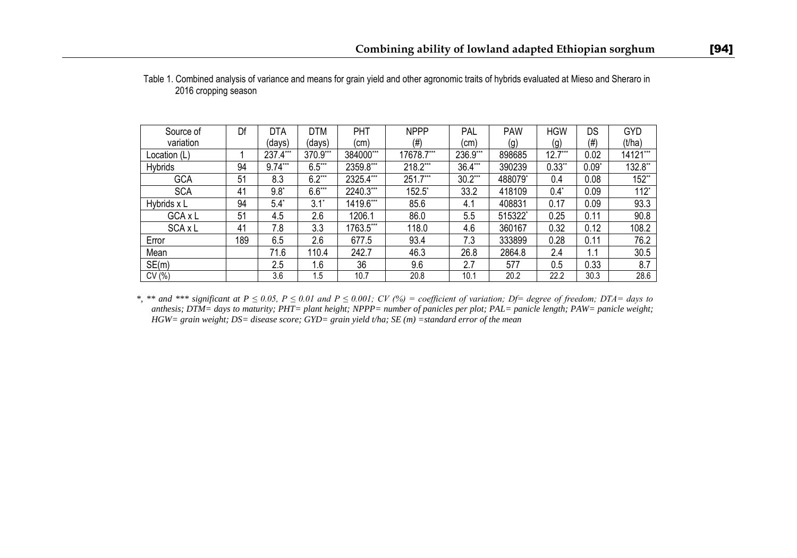| Source of    | Df  | <b>DTA</b> | <b>DTM</b> | PHT            | <b>NPPP</b> | PAL       | <b>PAW</b> | <b>HGW</b> | DS      | <b>GYD</b> |
|--------------|-----|------------|------------|----------------|-------------|-----------|------------|------------|---------|------------|
| variation    |     | (days)     | (days)     | (cm)           | (#)         | (cm)      | (g)        | (g)        | $(\#)$  | (t/ha)     |
| Location (L) |     | 237.4***   | 370.9***   | 384000***      | 17678.7***  | 236.9***  | 898685     | $12.7***$  | 0.02    | 14121***   |
| Hybrids      | 94  | $9.74***$  | $6.5***$   | 2359.8***      | 218.2***    | $36.4***$ | 390239     | $0.33$ **  | $0.09*$ | 132.8**    |
| <b>GCA</b>   | 51  | 8.3        | $6.2***$   | 2325.4***      | $251.7***$  | $30.2***$ | 488079*    | 0.4        | 0.08    | 152**      |
| <b>SCA</b>   | 41  | $9.8^*$    | $6.6***$   | 2240.3***      | $152.5^*$   | 33.2      | 418109     | $0.4^*$    | 0.09    | $112^*$    |
| Hybrids x L  | 94  | $5.4^*$    | $3.1^*$    | 1419.6***      | 85.6        | 4.1       | 408831     | 0.17       | 0.09    | 93.3       |
| GCA x L      | 51  | 4.5        | 2.6        | 1206.1         | 86.0        | 5.5       | 515322*    | 0.25       | 0.11    | 90.8       |
| SCA x L      | 41  | 7.8        | 3.3        | $1763.5^{***}$ | 118.0       | 4.6       | 360167     | 0.32       | 0.12    | 108.2      |
| Error        | 189 | 6.5        | 2.6        | 677.5          | 93.4        | 7.3       | 333899     | 0.28       | 0.11    | 76.2       |
| Mean         |     | 71.6       | 110.4      | 242.7          | 46.3        | 26.8      | 2864.8     | 2.4        | 1.1     | 30.5       |
| SE(m)        |     | 2.5        | 1.6        | 36             | 9.6         | 2.7       | 577        | 0.5        | 0.33    | 8.7        |
| CV(%)        |     | 3.6        | 1.5        | 10.7           | 20.8        | 10.1      | 20.2       | 22.2       | 30.3    | 28.6       |

| Table 1. Combined analysis of variance and means for grain yield and other agronomic traits of hybrids evaluated at Mieso and Sheraro in |  |  |  |
|------------------------------------------------------------------------------------------------------------------------------------------|--|--|--|
| 2016 cropping season                                                                                                                     |  |  |  |

*\*, \*\* and \*\*\* significant at P ≤ 0.05, P ≤ 0.01 and P ≤ 0.001; CV (%) = coefficient of variation; Df= degree of freedom; DTA= days to anthesis; DTM= days to maturity; PHT= plant height; NPPP= number of panicles per plot; PAL= panicle length; PAW= panicle weight; HGW= grain weight; DS= disease score; GYD= grain yield t/ha; SE (m) =standard error of the mean*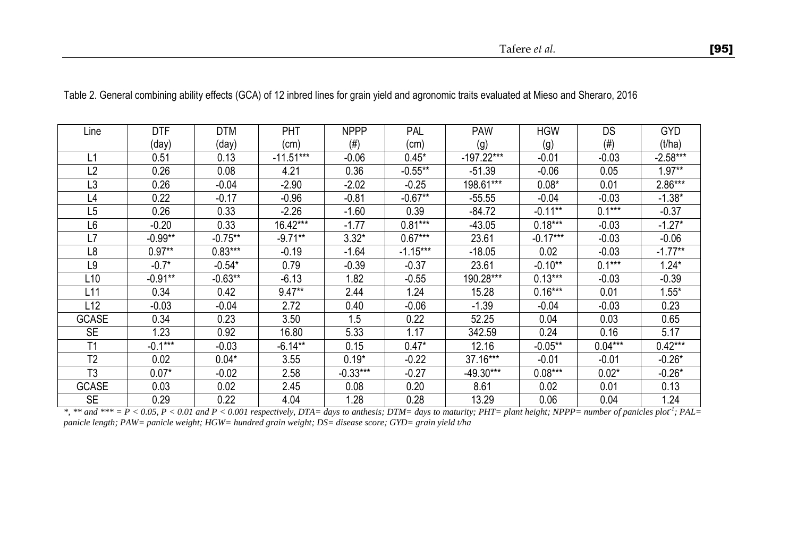| Line            | <b>DTF</b> | <b>DTM</b> | PHT         | <b>NPPP</b> | PAL        | <b>PAW</b>   | <b>HGW</b> | DS                | GYD        |
|-----------------|------------|------------|-------------|-------------|------------|--------------|------------|-------------------|------------|
|                 | (day)      | (day)      | (cm)        | $(\#)$      | (cm)       | (g)          | (g)        | (# <sup>1</sup> ) | (t/ha)     |
| L1              | 0.51       | 0.13       | $-11.51***$ | $-0.06$     | $0.45*$    | $-197.22***$ | -0.01      | $-0.03$           | $-2.58***$ |
| L2              | 0.26       | 0.08       | 4.21        | 0.36        | $-0.55***$ | $-51.39$     | $-0.06$    | 0.05              | $1.97**$   |
| L <sub>3</sub>  | 0.26       | $-0.04$    | $-2.90$     | $-2.02$     | $-0.25$    | 198.61***    | $0.08*$    | 0.01              | $2.86***$  |
| L4              | 0.22       | $-0.17$    | $-0.96$     | $-0.81$     | $-0.67**$  | $-55.55$     | $-0.04$    | $-0.03$           | $-1.38*$   |
| $L\overline{5}$ | 0.26       | 0.33       | $-2.26$     | $-1.60$     | 0.39       | $-84.72$     | $-0.11***$ | $0.1***$          | $-0.37$    |
| L6              | $-0.20$    | 0.33       | 16.42***    | $-1.77$     | $0.81***$  | $-43.05$     | $0.18***$  | $-0.03$           | $-1.27*$   |
| L7              | $-0.99**$  | $-0.75***$ | $-9.71***$  | $3.32*$     | $0.67***$  | 23.61        | $-0.17***$ | $-0.03$           | $-0.06$    |
| L8              | $0.97**$   | $0.83***$  | $-0.19$     | $-1.64$     | $-1.15***$ | $-18.05$     | 0.02       | $-0.03$           | $-1.77**$  |
| L9              | $-0.7*$    | $-0.54*$   | 0.79        | $-0.39$     | $-0.37$    | 23.61        | $-0.10**$  | $0.1***$          | $1.24*$    |
| L <sub>10</sub> | $-0.91**$  | $-0.63**$  | $-6.13$     | 1.82        | $-0.55$    | 190.28***    | $0.13***$  | $-0.03$           | $-0.39$    |
| L <sub>11</sub> | 0.34       | 0.42       | $9.47**$    | 2.44        | 1.24       | 15.28        | $0.16***$  | 0.01              | $1.55*$    |
| L12             | $-0.03$    | $-0.04$    | 2.72        | 0.40        | $-0.06$    | $-1.39$      | $-0.04$    | $-0.03$           | 0.23       |
| <b>GCASE</b>    | 0.34       | 0.23       | 3.50        | 1.5         | 0.22       | 52.25        | 0.04       | 0.03              | 0.65       |
| <b>SE</b>       | 1.23       | 0.92       | 16.80       | 5.33        | 1.17       | 342.59       | 0.24       | 0.16              | 5.17       |
| T1              | $-0.1***$  | $-0.03$    | $-6.14**$   | 0.15        | $0.47*$    | 12.16        | $-0.05***$ | $0.04***$         | $0.42***$  |
| T <sub>2</sub>  | 0.02       | $0.04*$    | 3.55        | $0.19*$     | $-0.22$    | $37.16***$   | $-0.01$    | $-0.01$           | $-0.26*$   |
| T <sub>3</sub>  | $0.07*$    | $-0.02$    | 2.58        | $-0.33***$  | -0.27      | -49.30***    | $0.08***$  | $0.02*$           | $-0.26*$   |
| <b>GCASE</b>    | 0.03       | 0.02       | 2.45        | 0.08        | 0.20       | 8.61         | 0.02       | 0.01              | 0.13       |
| <b>SE</b>       | 0.29       | 0.22       | 4.04        | 1.28        | 0.28       | 13.29        | 0.06       | 0.04              | 1.24       |

Table 2. General combining ability effects (GCA) of 12 inbred lines for grain yield and agronomic traits evaluated at Mieso and Sheraro, 2016

*\*, \*\* and \*\*\* = P < 0.05, P < 0.01 and P < 0.001 respectively, DTA= days to anthesis; DTM= days to maturity; PHT= plant height; NPPP= number of panicles plot-1 ; PAL= panicle length; PAW= panicle weight; HGW= hundred grain weight; DS= disease score; GYD= grain yield t/ha*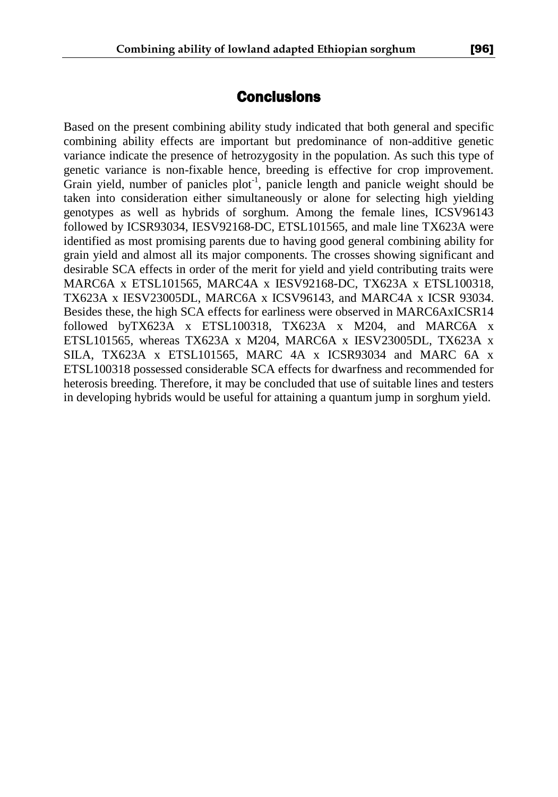# **Conclusions**

Based on the present combining ability study indicated that both general and specific combining ability effects are important but predominance of non-additive genetic variance indicate the presence of hetrozygosity in the population. As such this type of genetic variance is non-fixable hence, breeding is effective for crop improvement. Grain yield, number of panicles plot<sup>-1</sup>, panicle length and panicle weight should be taken into consideration either simultaneously or alone for selecting high yielding genotypes as well as hybrids of sorghum. Among the female lines, ICSV96143 followed by ICSR93034, IESV92168-DC, ETSL101565, and male line TX623A were identified as most promising parents due to having good general combining ability for grain yield and almost all its major components. The crosses showing significant and desirable SCA effects in order of the merit for yield and yield contributing traits were MARC6A x ETSL101565, MARC4A x IESV92168-DC, TX623A x ETSL100318, TX623A x IESV23005DL, MARC6A x ICSV96143, and MARC4A x ICSR 93034. Besides these, the high SCA effects for earliness were observed in MARC6AxICSR14 followed byTX623A x ETSL100318, TX623A x M204, and MARC6A x ETSL101565, whereas TX623A x M204, MARC6A x IESV23005DL, TX623A x SILA, TX623A x ETSL101565, MARC 4A x ICSR93034 and MARC 6A x ETSL100318 possessed considerable SCA effects for dwarfness and recommended for heterosis breeding. Therefore, it may be concluded that use of suitable lines and testers in developing hybrids would be useful for attaining a quantum jump in sorghum yield.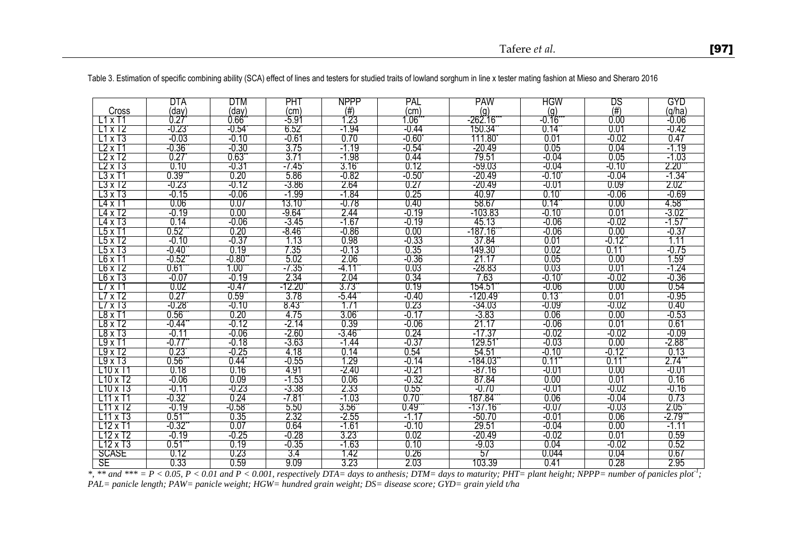|                      | DTA            | DTM             | PHT      | <b>NPPP</b>    | PAL             | <b>PAW</b> | <b>HGW</b>      | DS                   | GYD            |
|----------------------|----------------|-----------------|----------|----------------|-----------------|------------|-----------------|----------------------|----------------|
| Cross                | (day)          | (dav)           | (cm)     | $(\#)$         | (cm)            | (g)        | (q)             | (#)                  | (q/ha)         |
| L1xT1                | 0.27           | 0.66            | -5.91    | 1.23           | .06             | -262.16    | $-0.16$         | 0.00                 | $-0.06$        |
| T1xT2                | -0.23          | $-0.54$         | 6.52     | -1.94          | -0.44           | 150.34     | 0.14            | 0.01                 | -0.42          |
| T1x13                | -0.03          | -0.10           | -0.61    | 0.70           | $-0.60^{\circ}$ | 111.80     | 0.01            | $-0.02$              | 0.47           |
| L2xT1                | -0.36          | $-0.30$         | 3.75     | $-1.19$        | $-0.54$         | -20.49     | 0.05            | 0.04                 | $-1.19$        |
| $L2x$ T <sub>2</sub> | 0.27           | $0.63^{\circ}$  | 3.71     | $-1.98$        | 0.44            | 79.51      | $-0.04$         | 0.05                 | $-1.03$        |
| $L2 \times T3$       | 0.10           | -0.31           | -7.45    | $3.16^{\circ}$ | 0.12            | -59.03     | -0.04           | $-0.10^{\circ}$      | $2.20^{\circ}$ |
| $L3x$ T1             | $0.39^{r}$     | 0.20            | 5.86     | -0.82          | $-0.50^{\circ}$ | -20.49     | $-0.10^{\circ}$ | -0.04                | -1.34`         |
| L3 x T2              | $-0.23$        | -0.12           | $-3.86$  | 2.64           | 0.27            | -20.49     | -0.01           | 0.09                 | $2.02^{\circ}$ |
| $L3 \times T3$       | $-0.15$        | -0.06           | -1.99    | -1.84          | 0.25            | 40.97      | $0.10^{1}$      | $-0.06$              | -0.69          |
| L4 x T1              | 0.06           | 0.07            | 13.10    | -0.78          | 0.40            | 58.67      | $0.14^{\circ}$  | 0.00                 | 4.58*          |
| L4 x T2              | $-0.19$        | 0.00            | -9.64    | 2.44           | -0.19           | $-103.83$  | $-0.10$         | 0.01                 | -3.02"         |
| L4 x T3              | 0.14           | $-0.06$         | -3.45    | -1.67          | -0.19           | 45.13      | $-0.06$         | $-0.02$              | $-1.57$        |
| L5xT1                | $0.52^{\circ}$ | 0.20            | -8.46    | $-0.86$        | 0.00            | -187.16    | $-0.06$         | 0.00                 | -0.37          |
| L5 x T2              | $-0.10$        | -0.37           | 1.13     | 0.98           | -0.33           | 37.84      | 0.01            | $-0.12$ <sup>*</sup> | 1.11           |
| L5xT3                | $-0.40$        | 0.19            | 7.35     | $-0.13$        | 0.35            | 149.30     | 0.02            | 0.11                 | -0.75          |
| $L6 \times T1$       | $-0.52$        | $-0.80^{\circ}$ | 5.02     | 2.06           | -0.36           | 21.17      | 0.05            | 0.00                 | 1.59           |
| $L6 \times T2$       | 0.61           | 1.00'           | -7.35    | -4.11          | 0.03            | -28.83     | 0.03            | 0.01                 | -1.24          |
| $L6 \times T3$       | -0.07          | $-0.19$         | 2.34     | 2.04           | 0.34            | 7.63       | $-0.10^{\circ}$ | -0.02                | -0.36          |
| $L7 \times T1$       | 0.02           | $-0.47$         | $-12.20$ | 3.73           | 0.19            | 154.51     | $-0.06$         | 0.00                 | 0.54           |
| L7 x T2              | 0.27           | $0.59^{\circ}$  | 3.78     | -5.44*         | -0.40           | -120.49    | 0.13            | 0.01                 | -0.95          |
| $L7 \times T3$       | -0.28          | -0.10           | 8.43     | 1.71           | 0.23            | -34.03     | -0.09           | $-0.02$              | 0.40           |
| $L8 \times T1$       | $0.56^{\circ}$ | 0.20            | 4.75     | $3.06^{\circ}$ | $-0.17$         | $-3.83$    | 0.06            | 0.00                 | -0.53          |
| L8 x T2              | -0.44          | -0.12           | -2.14    | 0.39           | $-0.06$         | 21.17      | $-0.06$         | 0.01                 | 0.61           |
| L8 x T3              | -0.11          | -0.06           | $-2.60$  | -3.46          | 0.24            | $-17.37$   | $-0.02$         | $-0.02$              | -0.09          |
| L9xT1                | -0.77          | -0.18           | -3.63    | $-1.44$        | -0.37           | 129.51     | $-0.03$         | 0.00                 | -2.88`         |
| $19\times12$         | 0.23           | -0.25           | 4.18     | 0.14           | 0.54            | 54.51      | $-0.10$         | $-0.12$              | 0.13           |
| L9xT3                | $0.56^{\circ}$ | 0.44            | $-0.55$  | 1.29           | -0.14           | $-184.03$  | 0.11            | 0.11                 | 2.74           |
| $L10 \times T1$      | 0.18           | 0.16            | 4.91     | -2.40          | -0.21           | -87.16     | -0.01           | 0.00                 | -0.01          |
| $110 \times 12$      | $-0.06$        | 0.09            | $-1.53$  | 0.06           | -0.32           | 87.84      | 0.00            | 0.01                 | 0.16           |
| $110 \times 13$      | $-0.11$        | -0.23           | -3.38    | 2.33           | $0.55^{\circ}$  | $-0.70$    | -0.01           | $-0.02$              | -0.16          |
| L11<br>$\times$ T1   | -0.32'         | 0.24            | -7.81    | $-1.03$        | $0.70^{o}$      | 187.84     | 0.06            | $-0.04$              | 0.73           |
| L11 x T2             | $-0.19$        | $-0.58$         | 5.50     | $3.56^{\circ}$ | $0.49^\circ$    | -137.16    | $-0.07$         | $-0.03$              | $2.05^{\circ}$ |
| T11xT3               | 0.51           | 0.35            | 2.32     | $-2.55$        | $-1.17$         | $-50.70$   | $-0.01$         | 0.06                 | -2.79*         |
| T12 x T1             | -0.32          | 0.07            | 0.64     | $-1.61$        | -0.10           | 29.51      | -0.04           | 0.00                 | $-1.11$        |
| L12 x T2             | $-0.19$        | -0.25           | $-0.28$  | $3.23^{\circ}$ | 0.02            | -20.49     | -0.02           | 0.01                 | 0.59           |
| $L12 \times T3$      | 0.51           | 0.19            | $-0.35$  | -1.63          | 0.10            | $-9.03$    | 0.04            | $-0.02$              | 0.52           |
| <b>SCASE</b>         | 0.12           | 0.23            | 3.4      | 1.42           | 0.26            | 57         | 0.044           | 0.04                 | 0.67           |
| SE                   | 0.33           | 0.59            | 9.09     | 3.23           | 2.03            | 103.39     | 0.41            | 0.28                 | 2.95           |

Table 3. Estimation of specific combining ability (SCA) effect of lines and testers for studied traits of lowland sorghum in line x tester mating fashion at Mieso and Sheraro 2016

*\*, \*\* and \*\*\* = P < 0.05, P < 0.01 and P < 0.001, respectively DTA= days to anthesis; DTM= days to maturity; PHT= plant height; NPPP= number of panicles plot-1 ; PAL= panicle length; PAW= panicle weight; HGW= hundred grain weight; DS= disease score; GYD= grain yield t/ha*